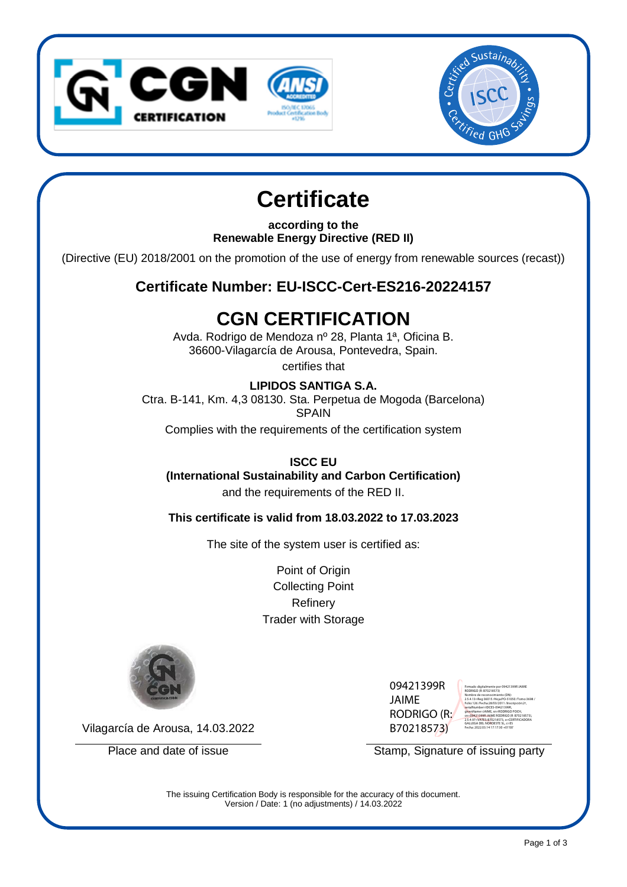



# **Certificate**

**according to the Renewable Energy Directive (RED II)**

(Directive (EU) 2018/2001 on the promotion of the use of energy from renewable sources (recast))

# **Certificate Number: EU-ISCC-Cert-ES216-20224157**

# **CGN CERTIFICATION**

Avda. Rodrigo de Mendoza nº 28, Planta 1ª, Oficina B. 36600-Vilagarcía de Arousa, Pontevedra, Spain.

certifies that

#### **LIPIDOS SANTIGA S.A.**

Ctra. B-141, Km. 4,3 08130. Sta. Perpetua de Mogoda (Barcelona) SPAIN

Complies with the requirements of the certification system

## **ISCC EU**

### **(International Sustainability and Carbon Certification)**

and the requirements of the RED II.

#### **This certificate is valid from 18.03.2022 to 17.03.2023**

The site of the system user is certified as:

Point of Origin Collecting Point Refinery Trader with Storage



09421399R JAIME RODRIGO (R: B70218573)



Vilagarcía de Arousa, 14.03.2022

Place and date of issue Stamp, Signature of issuing party

The issuing Certification Body is responsible for the accuracy of this document. Version / Date: 1 (no adjustments) / 14.03.2022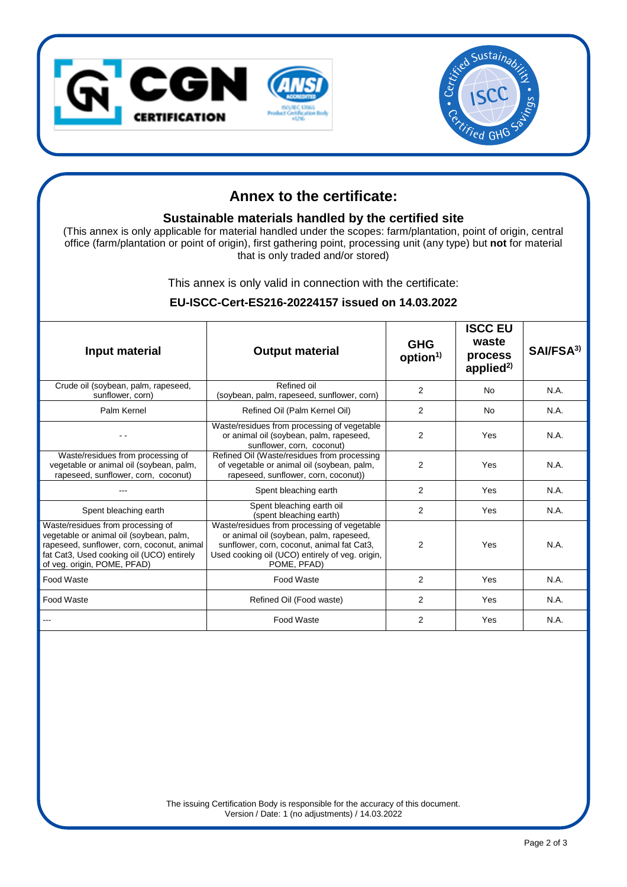



# **Annex to the certificate:**

#### **Sustainable materials handled by the certified site**

(This annex is only applicable for material handled under the scopes: farm/plantation, point of origin, central office (farm/plantation or point of origin), first gathering point, processing unit (any type) but **not** for material that is only traded and/or stored)

This annex is only valid in connection with the certificate:

| Input material                                                                                                                                                                                         | <b>Output material</b>                                                                                                                                                                                 | <b>GHG</b><br>option <sup>1</sup> | <b>ISCC EU</b><br>waste<br>process<br>applied $^{2)}$ | SAI/FSA <sup>3)</sup> |
|--------------------------------------------------------------------------------------------------------------------------------------------------------------------------------------------------------|--------------------------------------------------------------------------------------------------------------------------------------------------------------------------------------------------------|-----------------------------------|-------------------------------------------------------|-----------------------|
| Crude oil (soybean, palm, rapeseed,<br>sunflower, corn)                                                                                                                                                | Refined oil<br>(soybean, palm, rapeseed, sunflower, corn)                                                                                                                                              | 2                                 | <b>No</b>                                             | N.A.                  |
| Palm Kernel                                                                                                                                                                                            | Refined Oil (Palm Kernel Oil)                                                                                                                                                                          | 2                                 | <b>No</b>                                             | N.A.                  |
|                                                                                                                                                                                                        | Waste/residues from processing of vegetable<br>or animal oil (soybean, palm, rapeseed,<br>sunflower, corn, coconut)                                                                                    | $\overline{2}$                    | Yes                                                   | N.A.                  |
| Waste/residues from processing of<br>vegetable or animal oil (soybean, palm,<br>rapeseed, sunflower, corn, coconut)                                                                                    | Refined Oil (Waste/residues from processing<br>of vegetable or animal oil (soybean, palm,<br>rapeseed, sunflower, corn, coconut))                                                                      | $\overline{2}$                    | Yes                                                   | N.A.                  |
|                                                                                                                                                                                                        | Spent bleaching earth                                                                                                                                                                                  | 2                                 | Yes                                                   | N.A.                  |
| Spent bleaching earth                                                                                                                                                                                  | Spent bleaching earth oil<br>(spent bleaching earth)                                                                                                                                                   | 2                                 | Yes                                                   | N.A.                  |
| Waste/residues from processing of<br>vegetable or animal oil (soybean, palm,<br>rapeseed, sunflower, corn, coconut, animal<br>fat Cat3, Used cooking oil (UCO) entirely<br>of veg. origin, POME, PFAD) | Waste/residues from processing of vegetable<br>or animal oil (soybean, palm, rapeseed,<br>sunflower, corn, coconut, animal fat Cat3,<br>Used cooking oil (UCO) entirely of veg. origin,<br>POME, PFAD) | 2                                 | Yes                                                   | N.A.                  |
| Food Waste                                                                                                                                                                                             | Food Waste                                                                                                                                                                                             | $\overline{2}$                    | Yes                                                   | N.A.                  |
| Food Waste                                                                                                                                                                                             | Refined Oil (Food waste)                                                                                                                                                                               | $\overline{2}$                    | Yes                                                   | N.A.                  |
|                                                                                                                                                                                                        | Food Waste                                                                                                                                                                                             | $\overline{2}$                    | Yes                                                   | N.A.                  |

#### **EU-ISCC-Cert-ES216-20224157 issued on 14.03.2022**

The issuing Certification Body is responsible for the accuracy of this document. Version / Date: 1 (no adjustments) / 14.03.2022